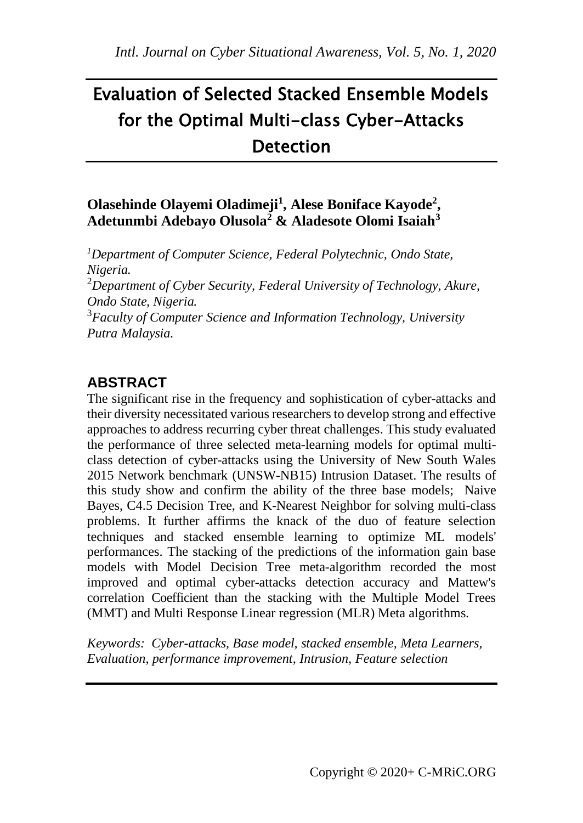# Evaluation of Selected Stacked Ensemble Models for the Optimal Multi-class Cyber-Attacks **Detection**

## **Olasehinde Olayemi Oladimeji<sup>1</sup> , Alese Boniface Kayode<sup>2</sup> , Adetunmbi Adebayo Olusola<sup>2</sup> & Aladesote Olomi Isaiah<sup>3</sup>**

*<sup>1</sup>Department of Computer Science, Federal Polytechnic, Ondo State, Nigeria.* <sup>2</sup>*Department of Cyber Security, Federal University of Technology, Akure, Ondo State, Nigeria.* <sup>3</sup>*Faculty of Computer Science and Information Technology, University Putra Malaysia.*

# **ABSTRACT**

The significant rise in the frequency and sophistication of cyber-attacks and their diversity necessitated various researchers to develop strong and effective approaches to address recurring cyber threat challenges. This study evaluated the performance of three selected meta-learning models for optimal multiclass detection of cyber-attacks using the University of New South Wales 2015 Network benchmark (UNSW-NB15) Intrusion Dataset. The results of this study show and confirm the ability of the three base models; Naive Bayes, C4.5 Decision Tree, and K-Nearest Neighbor for solving multi-class problems. It further affirms the knack of the duo of feature selection techniques and stacked ensemble learning to optimize ML models' performances. The stacking of the predictions of the information gain base models with Model Decision Tree meta-algorithm recorded the most improved and optimal cyber-attacks detection accuracy and Mattew's correlation Coefficient than the stacking with the Multiple Model Trees (MMT) and Multi Response Linear regression (MLR) Meta algorithms.

*Keywords: Cyber-attacks, Base model, stacked ensemble, Meta Learners, Evaluation, performance improvement, Intrusion, Feature selection*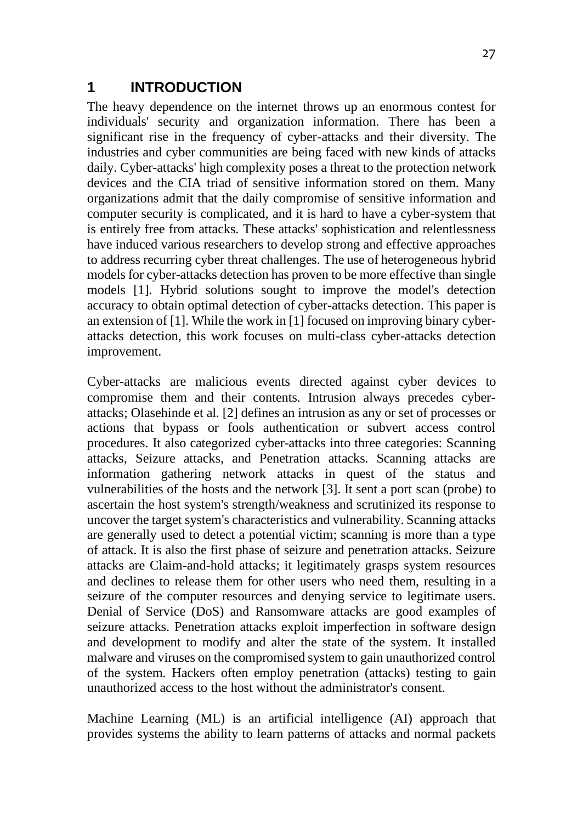## **1 INTRODUCTION**

The heavy dependence on the internet throws up an enormous contest for individuals' security and organization information. There has been a significant rise in the frequency of cyber-attacks and their diversity. The industries and cyber communities are being faced with new kinds of attacks daily. Cyber-attacks' high complexity poses a threat to the protection network devices and the CIA triad of sensitive information stored on them. Many organizations admit that the daily compromise of sensitive information and computer security is complicated, and it is hard to have a cyber-system that is entirely free from attacks. These attacks' sophistication and relentlessness have induced various researchers to develop strong and effective approaches to address recurring cyber threat challenges. The use of heterogeneous hybrid models for cyber-attacks detection has proven to be more effective than single models [1]. Hybrid solutions sought to improve the model's detection accuracy to obtain optimal detection of cyber-attacks detection. This paper is an extension of [1]. While the work in [1] focused on improving binary cyberattacks detection, this work focuses on multi-class cyber-attacks detection improvement.

Cyber-attacks are malicious events directed against cyber devices to compromise them and their contents. Intrusion always precedes cyberattacks; Olasehinde et al. [2] defines an intrusion as any or set of processes or actions that bypass or fools authentication or subvert access control procedures. It also categorized cyber-attacks into three categories: Scanning attacks, Seizure attacks, and Penetration attacks. Scanning attacks are information gathering network attacks in quest of the status and vulnerabilities of the hosts and the network [3]. It sent a port scan (probe) to ascertain the host system's strength/weakness and scrutinized its response to uncover the target system's characteristics and vulnerability. Scanning attacks are generally used to detect a potential victim; scanning is more than a type of attack. It is also the first phase of seizure and penetration attacks. Seizure attacks are Claim-and-hold attacks; it legitimately grasps system resources and declines to release them for other users who need them, resulting in a seizure of the computer resources and denying service to legitimate users. Denial of Service (DoS) and Ransomware attacks are good examples of seizure attacks. Penetration attacks exploit imperfection in software design and development to modify and alter the state of the system. It installed malware and viruses on the compromised system to gain unauthorized control of the system. Hackers often employ penetration (attacks) testing to gain unauthorized access to the host without the administrator's consent.

Machine Learning (ML) is an artificial intelligence (AI) approach that provides systems the ability to learn patterns of attacks and normal packets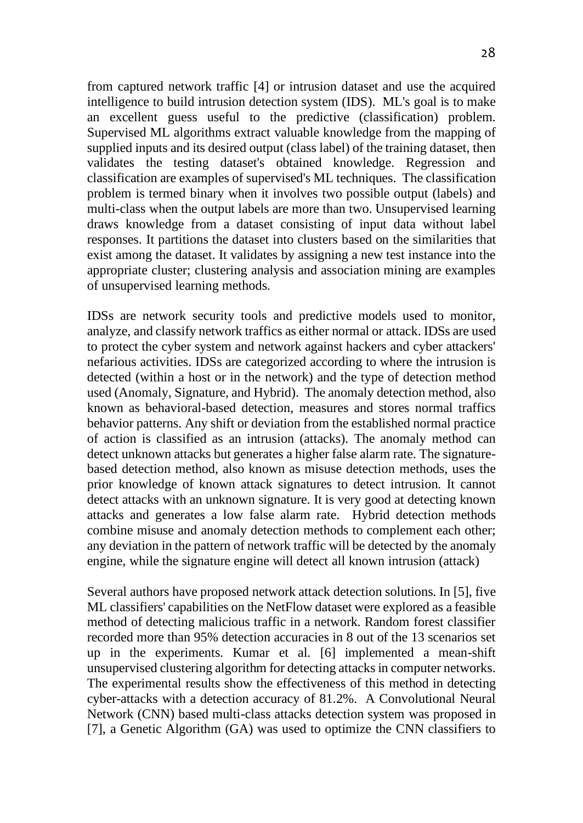from captured network traffic [4] or intrusion dataset and use the acquired intelligence to build intrusion detection system (IDS). ML's goal is to make an excellent guess useful to the predictive (classification) problem. Supervised ML algorithms extract valuable knowledge from the mapping of supplied inputs and its desired output (class label) of the training dataset, then validates the testing dataset's obtained knowledge. Regression and classification are examples of supervised's ML techniques. The classification problem is termed binary when it involves two possible output (labels) and multi-class when the output labels are more than two. Unsupervised learning draws knowledge from a dataset consisting of input data without label responses. It partitions the dataset into clusters based on the similarities that exist among the dataset. It validates by assigning a new test instance into the appropriate cluster; clustering analysis and association mining are examples of unsupervised learning methods.

IDSs are network security tools and predictive models used to monitor, analyze, and classify network traffics as either normal or attack. IDSs are used to protect the cyber system and network against hackers and cyber attackers' nefarious activities. IDSs are categorized according to where the intrusion is detected (within a host or in the network) and the type of detection method used (Anomaly, Signature, and Hybrid). The anomaly detection method, also known as behavioral-based detection, measures and stores normal traffics behavior patterns. Any shift or deviation from the established normal practice of action is classified as an intrusion (attacks). The anomaly method can detect unknown attacks but generates a higher false alarm rate. The signaturebased detection method, also known as misuse detection methods, uses the prior knowledge of known attack signatures to detect intrusion. It cannot detect attacks with an unknown signature. It is very good at detecting known attacks and generates a low false alarm rate. Hybrid detection methods combine misuse and anomaly detection methods to complement each other; any deviation in the pattern of network traffic will be detected by the anomaly engine, while the signature engine will detect all known intrusion (attack)

Several authors have proposed network attack detection solutions. In [5], five ML classifiers' capabilities on the NetFlow dataset were explored as a feasible method of detecting malicious traffic in a network. Random forest classifier recorded more than 95% detection accuracies in 8 out of the 13 scenarios set up in the experiments. Kumar et al. [6] implemented a mean-shift unsupervised clustering algorithm for detecting attacks in computer networks. The experimental results show the effectiveness of this method in detecting cyber-attacks with a detection accuracy of 81.2%. A Convolutional Neural Network (CNN) based multi-class attacks detection system was proposed in [7], a Genetic Algorithm (GA) was used to optimize the CNN classifiers to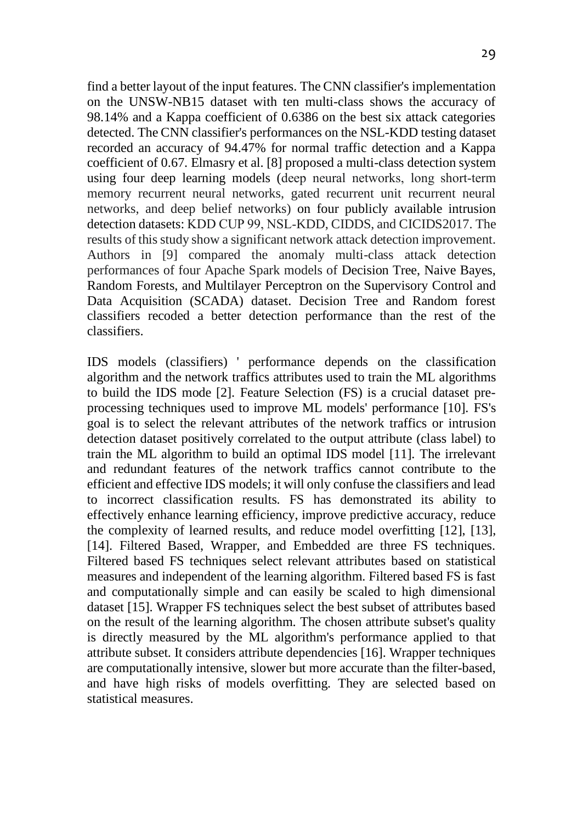find a better layout of the input features. The CNN classifier's implementation on the UNSW-NB15 dataset with ten multi-class shows the accuracy of 98.14% and a Kappa coefficient of 0.6386 on the best six attack categories detected. The CNN classifier's performances on the NSL-KDD testing dataset recorded an accuracy of 94.47% for normal traffic detection and a Kappa coefficient of 0.67. Elmasry et al. [8] proposed a multi-class detection system using four deep learning models (deep neural networks, long short‐term memory recurrent neural networks, gated recurrent unit recurrent neural networks, and deep belief networks) on four publicly available intrusion detection datasets: KDD CUP 99, NSL‐KDD, CIDDS, and CICIDS2017. The results of this study show a significant network attack detection improvement. Authors in [9] compared the anomaly multi-class attack detection performances of four Apache Spark models of Decision Tree, Naive Bayes, Random Forests, and Multilayer Perceptron on the Supervisory Control and Data Acquisition (SCADA) dataset. Decision Tree and Random forest classifiers recoded a better detection performance than the rest of the classifiers.

IDS models (classifiers) ' performance depends on the classification algorithm and the network traffics attributes used to train the ML algorithms to build the IDS mode [2]. Feature Selection (FS) is a crucial dataset preprocessing techniques used to improve ML models' performance [10]. FS's goal is to select the relevant attributes of the network traffics or intrusion detection dataset positively correlated to the output attribute (class label) to train the ML algorithm to build an optimal IDS model [11]. The irrelevant and redundant features of the network traffics cannot contribute to the efficient and effective IDS models; it will only confuse the classifiers and lead to incorrect classification results. FS has demonstrated its ability to effectively enhance learning efficiency, improve predictive accuracy, reduce the complexity of learned results, and reduce model overfitting [12], [13], [14]. Filtered Based, Wrapper, and Embedded are three FS techniques. Filtered based FS techniques select relevant attributes based on statistical measures and independent of the learning algorithm. Filtered based FS is fast and computationally simple and can easily be scaled to high dimensional dataset [15]. Wrapper FS techniques select the best subset of attributes based on the result of the learning algorithm. The chosen attribute subset's quality is directly measured by the ML algorithm's performance applied to that attribute subset. It considers attribute dependencies [16]. Wrapper techniques are computationally intensive, slower but more accurate than the filter-based, and have high risks of models overfitting. They are selected based on statistical measures.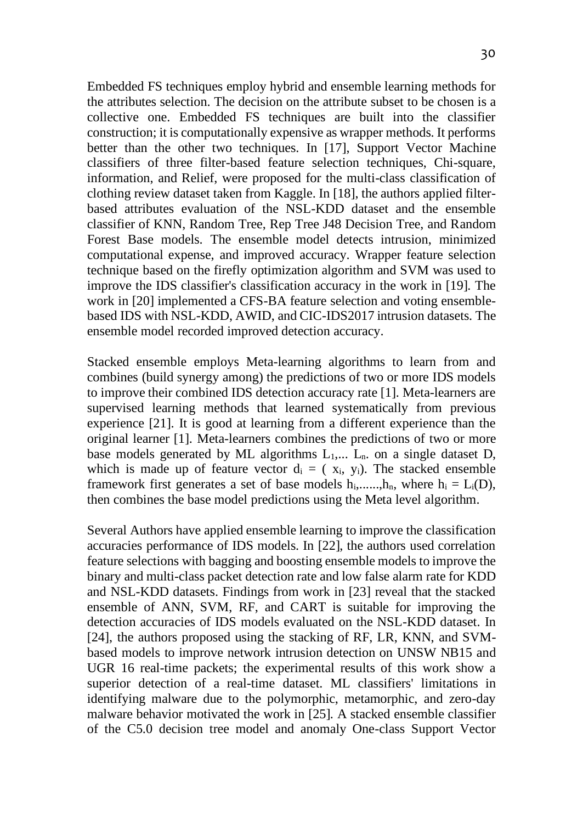Embedded FS techniques employ hybrid and ensemble learning methods for the attributes selection. The decision on the attribute subset to be chosen is a collective one. Embedded FS techniques are built into the classifier construction; it is computationally expensive as wrapper methods. It performs better than the other two techniques. In [17], Support Vector Machine classifiers of three filter-based feature selection techniques, Chi-square, information, and Relief, were proposed for the multi-class classification of clothing review dataset taken from Kaggle. In [18], the authors applied filterbased attributes evaluation of the NSL-KDD dataset and the ensemble classifier of KNN, Random Tree, Rep Tree J48 Decision Tree, and Random Forest Base models. The ensemble model detects intrusion, minimized computational expense, and improved accuracy. Wrapper feature selection technique based on the firefly optimization algorithm and SVM was used to improve the IDS classifier's classification accuracy in the work in [19]. The work in [20] implemented a CFS-BA feature selection and voting ensemblebased IDS with NSL-KDD, AWID, and CIC-IDS2017 intrusion datasets. The ensemble model recorded improved detection accuracy.

Stacked ensemble employs Meta-learning algorithms to learn from and combines (build synergy among) the predictions of two or more IDS models to improve their combined IDS detection accuracy rate [1]. Meta-learners are supervised learning methods that learned systematically from previous experience [21]. It is good at learning from a different experience than the original learner [1]. Meta-learners combines the predictions of two or more base models generated by ML algorithms  $L_1, \ldots, L_n$ , on a single dataset D. which is made up of feature vector  $d_i = (x_i, y_i)$ . The stacked ensemble framework first generates a set of base models  $h_i$ ,......, $h_n$ , where  $h_i = L_i(D)$ , then combines the base model predictions using the Meta level algorithm.

Several Authors have applied ensemble learning to improve the classification accuracies performance of IDS models. In [22], the authors used correlation feature selections with bagging and boosting ensemble models to improve the binary and multi-class packet detection rate and low false alarm rate for KDD and NSL-KDD datasets. Findings from work in [23] reveal that the stacked ensemble of ANN, SVM, RF, and CART is suitable for improving the detection accuracies of IDS models evaluated on the NSL-KDD dataset. In [24], the authors proposed using the stacking of RF, LR, KNN, and SVMbased models to improve network intrusion detection on UNSW NB15 and UGR 16 real-time packets; the experimental results of this work show a superior detection of a real-time dataset. ML classifiers' limitations in identifying malware due to the polymorphic, metamorphic, and zero-day malware behavior motivated the work in [25]. A stacked ensemble classifier of the C5.0 decision tree model and anomaly One-class Support Vector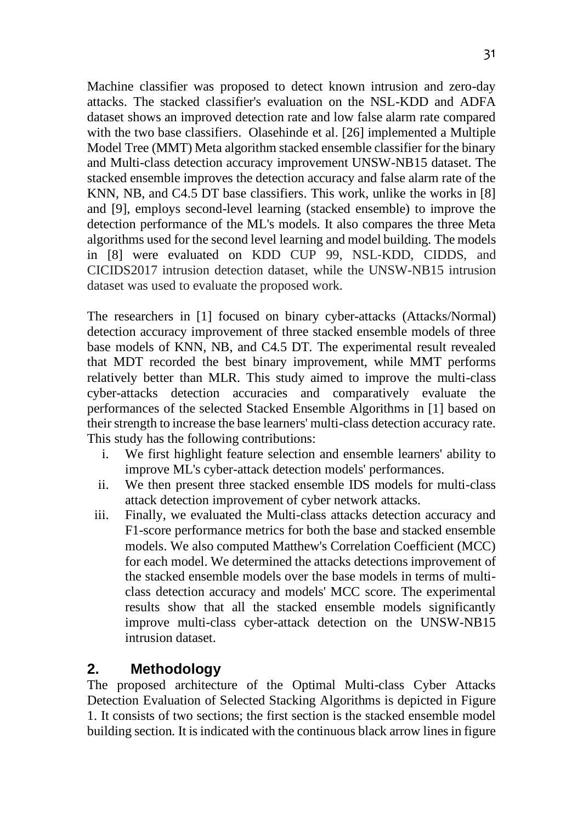Machine classifier was proposed to detect known intrusion and zero-day attacks. The stacked classifier's evaluation on the NSL-KDD and ADFA dataset shows an improved detection rate and low false alarm rate compared with the two base classifiers. Olasehinde et al. [26] implemented a Multiple Model Tree (MMT) Meta algorithm stacked ensemble classifier for the binary and Multi-class detection accuracy improvement UNSW-NB15 dataset. The stacked ensemble improves the detection accuracy and false alarm rate of the KNN, NB, and C4.5 DT base classifiers. This work, unlike the works in [8] and [9], employs second-level learning (stacked ensemble) to improve the detection performance of the ML's models. It also compares the three Meta algorithms used for the second level learning and model building. The models in [8] were evaluated on KDD CUP 99, NSL‐KDD, CIDDS, and CICIDS2017 intrusion detection dataset, while the UNSW-NB15 intrusion dataset was used to evaluate the proposed work.

The researchers in [1] focused on binary cyber-attacks (Attacks/Normal) detection accuracy improvement of three stacked ensemble models of three base models of KNN, NB, and C4.5 DT. The experimental result revealed that MDT recorded the best binary improvement, while MMT performs relatively better than MLR. This study aimed to improve the multi-class cyber-attacks detection accuracies and comparatively evaluate the performances of the selected Stacked Ensemble Algorithms in [1] based on their strength to increase the base learners' multi-class detection accuracy rate. This study has the following contributions:

- i. We first highlight feature selection and ensemble learners' ability to improve ML's cyber-attack detection models' performances.
- ii. We then present three stacked ensemble IDS models for multi-class attack detection improvement of cyber network attacks.
- iii. Finally, we evaluated the Multi-class attacks detection accuracy and F1-score performance metrics for both the base and stacked ensemble models. We also computed Matthew's Correlation Coefficient (MCC) for each model. We determined the attacks detections improvement of the stacked ensemble models over the base models in terms of multiclass detection accuracy and models' MCC score. The experimental results show that all the stacked ensemble models significantly improve multi-class cyber-attack detection on the UNSW-NB15 intrusion dataset.

## **2. Methodology**

The proposed architecture of the Optimal Multi-class Cyber Attacks Detection Evaluation of Selected Stacking Algorithms is depicted in Figure 1. It consists of two sections; the first section is the stacked ensemble model building section. It is indicated with the continuous black arrow lines in figure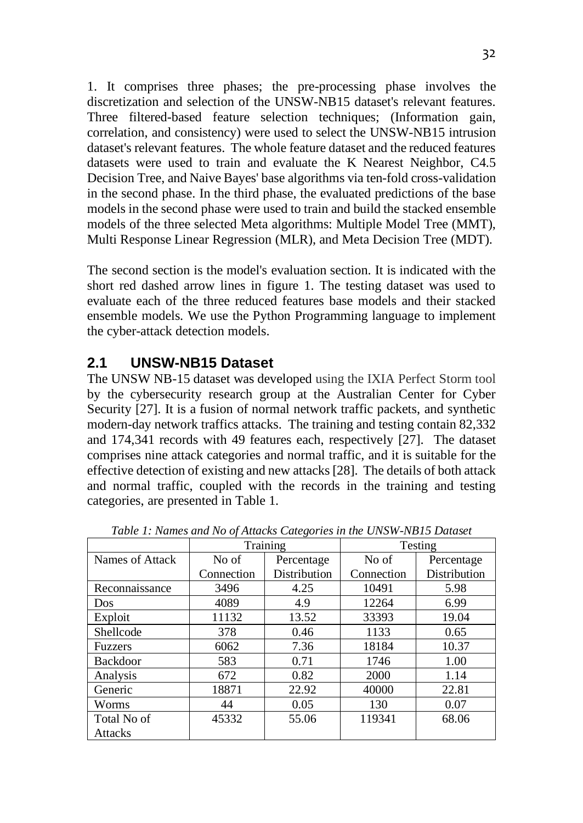1. It comprises three phases; the pre-processing phase involves the discretization and selection of the UNSW-NB15 dataset's relevant features. Three filtered-based feature selection techniques; (Information gain, correlation, and consistency) were used to select the UNSW-NB15 intrusion dataset's relevant features. The whole feature dataset and the reduced features datasets were used to train and evaluate the K Nearest Neighbor, C4.5 Decision Tree, and Naive Bayes' base algorithms via ten-fold cross-validation in the second phase. In the third phase, the evaluated predictions of the base models in the second phase were used to train and build the stacked ensemble models of the three selected Meta algorithms: Multiple Model Tree (MMT), Multi Response Linear Regression (MLR), and Meta Decision Tree (MDT).

The second section is the model's evaluation section. It is indicated with the short red dashed arrow lines in figure 1. The testing dataset was used to evaluate each of the three reduced features base models and their stacked ensemble models. We use the Python Programming language to implement the cyber-attack detection models.

## **2.1 UNSW-NB15 Dataset**

The UNSW NB-15 dataset was developed using the IXIA Perfect Storm tool by the cybersecurity research group at the Australian Center for Cyber Security [27]. It is a fusion of normal network traffic packets, and synthetic modern-day network traffics attacks. The training and testing contain 82,332 and 174,341 records with 49 features each, respectively [27]. The dataset comprises nine attack categories and normal traffic, and it is suitable for the effective detection of existing and new attacks [28]. The details of both attack and normal traffic, coupled with the records in the training and testing categories, are presented in Table 1.

|                 |            | Training     |            | Testing      |
|-----------------|------------|--------------|------------|--------------|
| Names of Attack | No of      | Percentage   | No of      | Percentage   |
|                 | Connection | Distribution | Connection | Distribution |
| Reconnaissance  | 3496       | 4.25         | 10491      | 5.98         |
| Dos             | 4089       | 4.9          | 12264      | 6.99         |
| Exploit         | 11132      | 13.52        | 33393      | 19.04        |
| Shellcode       | 378        | 0.46         | 1133       | 0.65         |
| <b>Fuzzers</b>  | 6062       | 7.36         | 18184      | 10.37        |
| <b>Backdoor</b> | 583        | 0.71         | 1746       | 1.00         |
| Analysis        | 672        | 0.82         | 2000       | 1.14         |
| Generic         | 18871      | 22.92        | 40000      | 22.81        |
| Worms           | 44         | 0.05         | 130        | 0.07         |
| Total No of     | 45332      | 55.06        | 119341     | 68.06        |
| <b>Attacks</b>  |            |              |            |              |

*Table 1: Names and No of Attacks Categories in the UNSW-NB15 Dataset*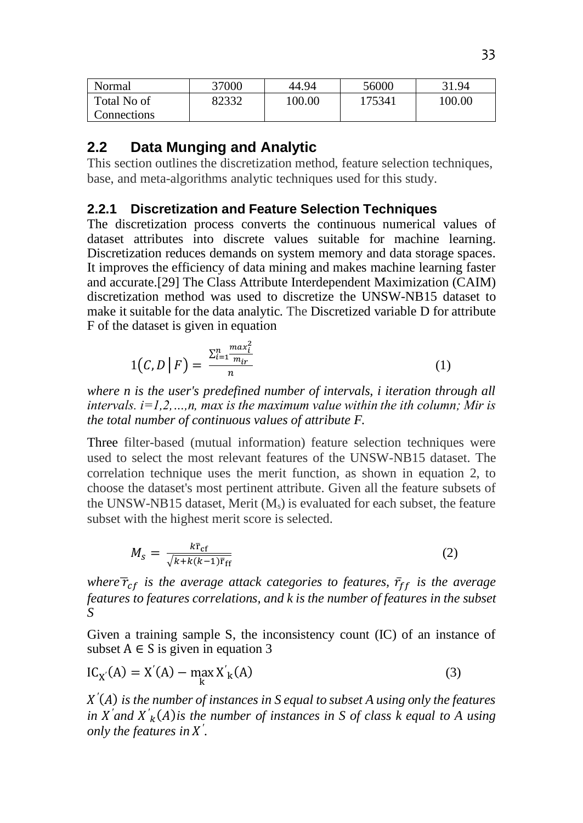| Normal      | 37000 | 44.94  | 56000  | 31.94  |
|-------------|-------|--------|--------|--------|
| Total No of | 82332 | 100.00 | 175341 | 100.00 |
| Connections |       |        |        |        |

#### **2.2 Data Munging and Analytic**

This section outlines the discretization method, feature selection techniques, base, and meta-algorithms analytic techniques used for this study.

#### **2.2.1 Discretization and Feature Selection Techniques**

The discretization process converts the continuous numerical values of dataset attributes into discrete values suitable for machine learning. Discretization reduces demands on system memory and data storage spaces. It improves the efficiency of data mining and makes machine learning faster and accurate.[29] The Class Attribute Interdependent Maximization (CAIM) discretization method was used to discretize the UNSW-NB15 dataset to make it suitable for the data analytic. The Discretized variable D for attribute F of the dataset is given in equation

$$
1\big(C,D\,\big|\,F\big) = \frac{\sum_{i=1}^{n} \frac{max_i^2}{m_{ir}}}{n} \tag{1}
$$

*where n is the user's predefined number of intervals, i iteration through all intervals. i=1,2,…,n, max is the maximum value within the ith column; Mir is the total number of continuous values of attribute F.* 

Three filter-based (mutual information) feature selection techniques were used to select the most relevant features of the UNSW-NB15 dataset. The correlation technique uses the merit function, as shown in equation 2, to choose the dataset's most pertinent attribute. Given all the feature subsets of the UNSW-NB15 dataset, Merit  $(M_s)$  is evaluated for each subset, the feature subset with the highest merit score is selected.

$$
M_{s} = \frac{k\bar{\mathbf{r}}_{cf}}{\sqrt{k + k(k-1)\bar{\mathbf{r}}_{ff}}}
$$
(2)

*where*  $\overline{r}_{cf}$  *is the average attack categories to features,*  $\overline{r}_{ff}$  *is the average features to features correlations, and k is the number of features in the subset S* 

Given a training sample S, the inconsistency count (IC) of an instance of subset  $A \in S$  is given in equation 3

$$
ICX(A) = X'(A) - \max_{k} X'_{k}(A)
$$
\n(3)

*X*<sup> $\prime$ </sup>(A) is the number of instances in *S* equal to subset A using only the features in  $X'$  and  $X'$ <sub>k</sub> $(A)$  is the number of instances in S of class k equal to A using *only the features in ′ .*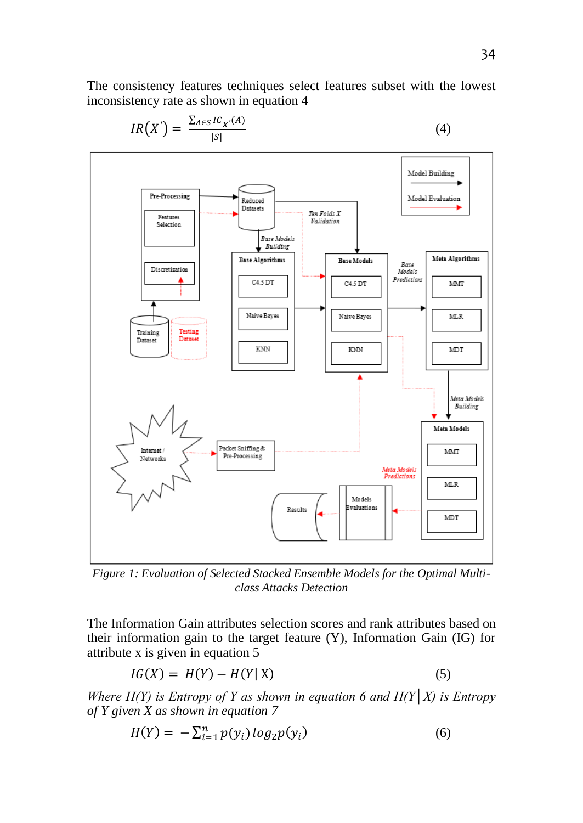The consistency features techniques select features subset with the lowest inconsistency rate as shown in equation 4



$$
IR(X') = \frac{\sum_{A \in S} IC_{X'}(A)}{|S|}
$$

*Figure 1: Evaluation of Selected Stacked Ensemble Models for the Optimal Multiclass Attacks Detection*

The Information Gain attributes selection scores and rank attributes based on their information gain to the target feature (Y), Information Gain (IG) for attribute x is given in equation 5

$$
IG(X) = H(Y) - H(Y|X)
$$
\n<sup>(5)</sup>

*Where*  $H(Y)$  *is Entropy of Y as shown in equation 6 and*  $H(Y|X)$  *is Entropy of Y given X as shown in equation 7*

$$
H(Y) = -\sum_{i=1}^{n} p(y_i) \log_2 p(y_i)
$$
 (6)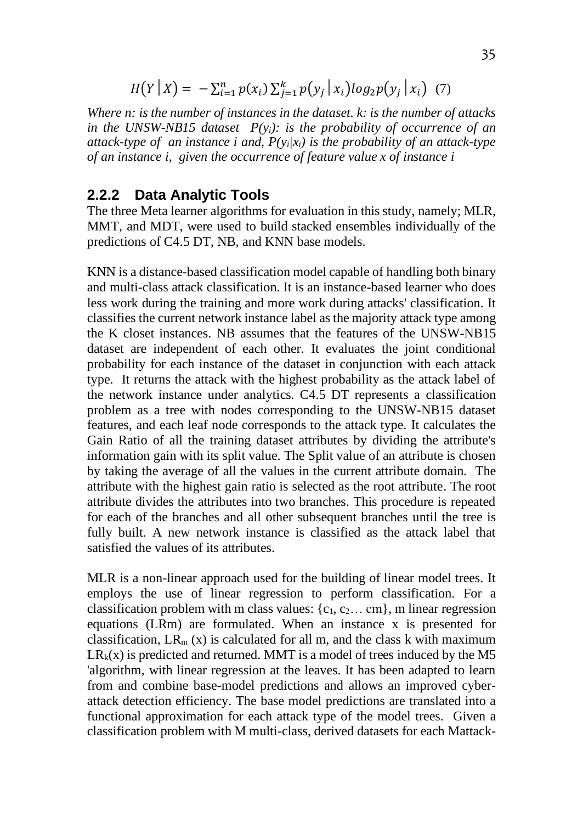$$
H(Y | X) = -\sum_{i=1}^{n} p(x_i) \sum_{j=1}^{k} p(y_j | x_i) \log_2 p(y_j | x_i) \quad (7)
$$

*Where n: is the number of instances in the dataset. k: is the number of attacks in the UNSW-NB15 dataset P(yi): is the probability of occurrence of an attack-type of an instance i and,*  $P(y|x_i)$  *is the probability of an attack-type of an instance i, given the occurrence of feature value x of instance i*

#### **2.2.2 Data Analytic Tools**

The three Meta learner algorithms for evaluation in this study, namely; MLR, MMT, and MDT, were used to build stacked ensembles individually of the predictions of C4.5 DT, NB, and KNN base models.

KNN is a distance-based classification model capable of handling both binary and multi-class attack classification. It is an instance-based learner who does less work during the training and more work during attacks' classification. It classifies the current network instance label as the majority attack type among the K closet instances. NB assumes that the features of the UNSW-NB15 dataset are independent of each other. It evaluates the joint conditional probability for each instance of the dataset in conjunction with each attack type. It returns the attack with the highest probability as the attack label of the network instance under analytics. C4.5 DT represents a classification problem as a tree with nodes corresponding to the UNSW-NB15 dataset features, and each leaf node corresponds to the attack type. It calculates the Gain Ratio of all the training dataset attributes by dividing the attribute's information gain with its split value. The Split value of an attribute is chosen by taking the average of all the values in the current attribute domain. The attribute with the highest gain ratio is selected as the root attribute. The root attribute divides the attributes into two branches. This procedure is repeated for each of the branches and all other subsequent branches until the tree is fully built. A new network instance is classified as the attack label that satisfied the values of its attributes.

MLR is a non-linear approach used for the building of linear model trees. It employs the use of linear regression to perform classification. For a classification problem with m class values:  $\{c_1, c_2 \dots \text{ cm}\}\$ , m linear regression equations (LRm) are formulated. When an instance x is presented for classification,  $LR_m(x)$  is calculated for all m, and the class k with maximum  $LR_k(x)$  is predicted and returned. MMT is a model of trees induced by the M5 'algorithm, with linear regression at the leaves. It has been adapted to learn from and combine base-model predictions and allows an improved cyberattack detection efficiency. The base model predictions are translated into a functional approximation for each attack type of the model trees. Given a classification problem with M multi-class, derived datasets for each Mattack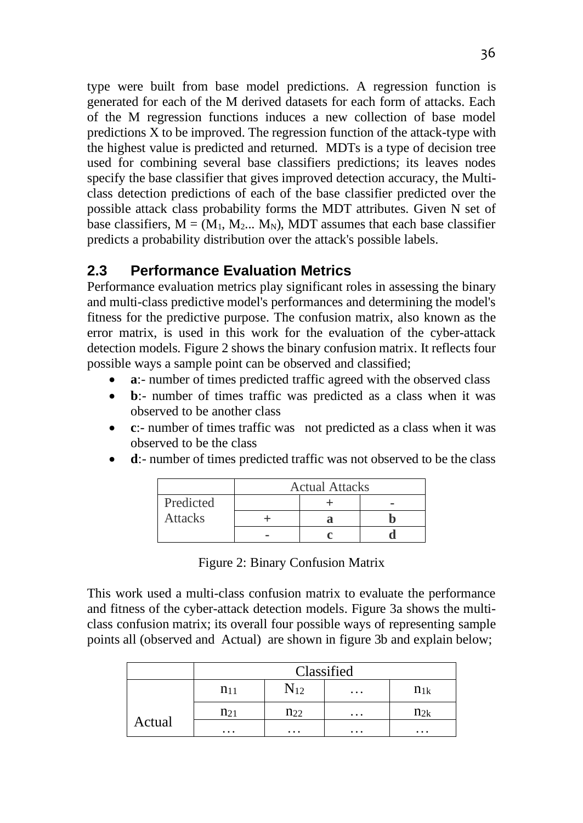type were built from base model predictions. A regression function is generated for each of the M derived datasets for each form of attacks. Each of the M regression functions induces a new collection of base model predictions X to be improved. The regression function of the attack-type with the highest value is predicted and returned. MDTs is a type of decision tree used for combining several base classifiers predictions; its leaves nodes specify the base classifier that gives improved detection accuracy, the Multiclass detection predictions of each of the base classifier predicted over the possible attack class probability forms the MDT attributes. Given N set of base classifiers,  $M = (M_1, M_2, ..., M_N)$ , MDT assumes that each base classifier predicts a probability distribution over the attack's possible labels.

## **2.3 Performance Evaluation Metrics**

Performance evaluation metrics play significant roles in assessing the binary and multi-class predictive model's performances and determining the model's fitness for the predictive purpose. The confusion matrix, also known as the error matrix, is used in this work for the evaluation of the cyber-attack detection models. Figure 2 shows the binary confusion matrix. It reflects four possible ways a sample point can be observed and classified;

- **a**:- number of times predicted traffic agreed with the observed class
- **b**:- number of times traffic was predicted as a class when it was observed to be another class
- **c**:- number of times traffic was not predicted as a class when it was observed to be the class
- **d**:- number of times predicted traffic was not observed to be the class

|                | <b>Actual Attacks</b> |  |  |  |  |  |
|----------------|-----------------------|--|--|--|--|--|
| Predicted      |                       |  |  |  |  |  |
| <b>Attacks</b> |                       |  |  |  |  |  |
|                |                       |  |  |  |  |  |

Figure 2: Binary Confusion Matrix

This work used a multi-class confusion matrix to evaluate the performance and fitness of the cyber-attack detection models. Figure 3a shows the multiclass confusion matrix; its overall four possible ways of representing sample points all (observed and Actual) are shown in figure 3b and explain below;

|        |                                              | Classified |          |          |  |  |  |  |  |
|--------|----------------------------------------------|------------|----------|----------|--|--|--|--|--|
|        | $N_{12}$<br>$n_{11}$<br>$n_{1k}$<br>$\cdots$ |            |          |          |  |  |  |  |  |
|        | $n_{21}$                                     | $n_{22}$   | $\cdots$ | $n_{2k}$ |  |  |  |  |  |
| Actual | $\cdots$                                     | $\cdots$   | $\cdots$ | $\cdots$ |  |  |  |  |  |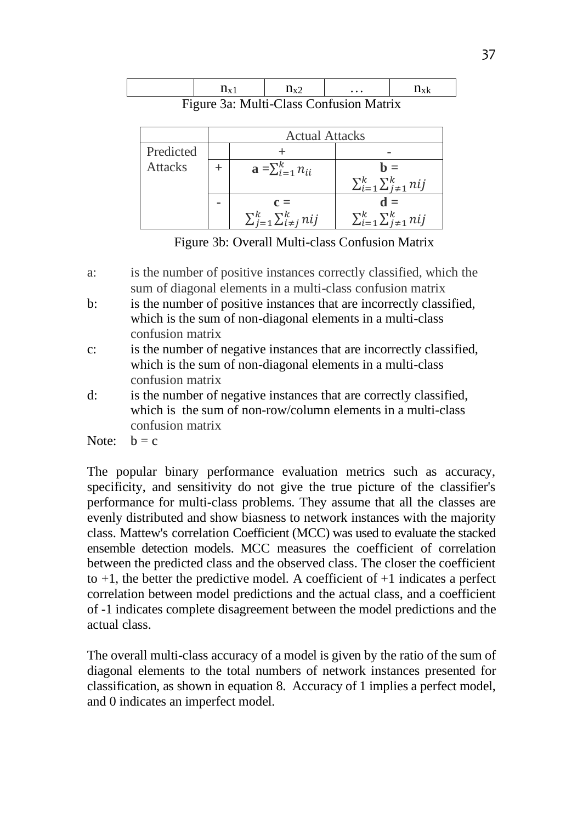|        |                                                                                                 | $\cdots$ |  |
|--------|-------------------------------------------------------------------------------------------------|----------|--|
| .<br>. | $M_{\odot}$ $M_{\odot}$ $M_{\odot}$ $M_{\odot}$ $M_{\odot}$ $M_{\odot}$ $M_{\odot}$ $M_{\odot}$ |          |  |

Figure 3a: Multi-Class Confusion Matrix

|                |   | <b>Actual Attacks</b>                         |                                              |  |  |  |  |  |  |
|----------------|---|-----------------------------------------------|----------------------------------------------|--|--|--|--|--|--|
| Predicted      |   |                                               |                                              |  |  |  |  |  |  |
| <b>Attacks</b> |   | $\mathbf{a} = \sum_{i=1}^{k} n_{ii}$          | $h =$<br>$\sum_{i=1}^k \sum_{j=1}^k nij$     |  |  |  |  |  |  |
|                | ۰ | $c =$<br>$\sum_{j=1}^k \sum_{i \neq j}^k nij$ | $d =$<br>$\sum_{i=1}^k \sum_{j\neq 1}^k nij$ |  |  |  |  |  |  |

Figure 3b: Overall Multi-class Confusion Matrix

- b: is the number of positive instances that are incorrectly classified, which is the sum of non-diagonal elements in a multi-class confusion matrix
- c: is the number of negative instances that are incorrectly classified, which is the sum of non-diagonal elements in a multi-class confusion matrix
- d: is the number of negative instances that are correctly classified, which is the sum of non-row/column elements in a multi-class confusion matrix

Note:  $b = c$ 

The popular binary performance evaluation metrics such as accuracy, specificity, and sensitivity do not give the true picture of the classifier's performance for multi-class problems. They assume that all the classes are evenly distributed and show biasness to network instances with the majority class. Mattew's correlation Coefficient (MCC) was used to evaluate the stacked ensemble detection models. MCC measures the coefficient of correlation between the predicted class and the observed class. The closer the coefficient to  $+1$ , the better the predictive model. A coefficient of  $+1$  indicates a perfect correlation between model predictions and the actual class, and a coefficient of -1 indicates complete disagreement between the model predictions and the actual class.

The overall multi-class accuracy of a model is given by the ratio of the sum of diagonal elements to the total numbers of network instances presented for classification, as shown in equation 8. Accuracy of 1 implies a perfect model, and 0 indicates an imperfect model.

a: is the number of positive instances correctly classified, which the sum of diagonal elements in a multi-class confusion matrix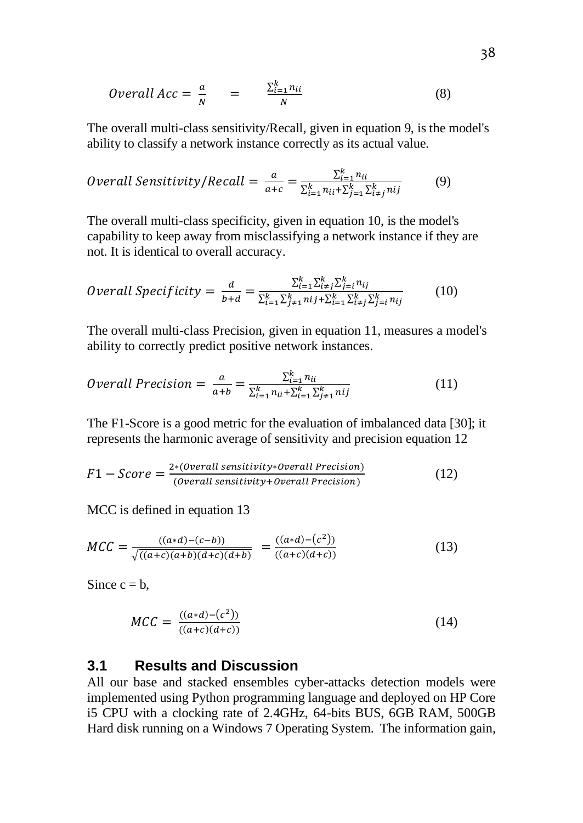*Overall Acc* = 
$$
\frac{a}{N}
$$
 =  $\frac{\sum_{i=1}^{k} n_{ii}}{N}$  (8)

The overall multi-class sensitivity/Recall, given in equation 9, is the model's ability to classify a network instance correctly as its actual value.

*Overall Sensitivity/Recall* = 
$$
\frac{a}{a+c} = \frac{\sum_{i=1}^{k} n_{ii}}{\sum_{i=1}^{k} n_{ii} + \sum_{j=1}^{k} \sum_{i \neq j}^{k} n_{ij}}
$$
(9)

The overall multi-class specificity, given in equation 10, is the model's capability to keep away from misclassifying a network instance if they are not. It is identical to overall accuracy.

*Overall Specificity* = 
$$
\frac{d}{b+d} = \frac{\sum_{i=1}^{k} \sum_{i=1}^{k} \sum_{j=1}^{k} n_{ij}}{\sum_{i=1}^{k} \sum_{j\neq 1}^{k} n_{ij} + \sum_{i=1}^{k} \sum_{i\neq j}^{k} \sum_{j=i}^{k} n_{ij}}
$$
(10)

The overall multi-class Precision, given in equation 11, measures a model's ability to correctly predict positive network instances.

*Overall Precision* = 
$$
\frac{a}{a+b} = \frac{\sum_{i=1}^{k} n_{ii}}{\sum_{i=1}^{k} n_{ii} + \sum_{i=1}^{k} \sum_{j \neq i}^{k} n_{ij}}
$$
 (11)

The F1-Score is a good metric for the evaluation of imbalanced data [30]; it represents the harmonic average of sensitivity and precision equation 12

$$
F1 - Score = \frac{2*(Overall sensitivity * Overall Precision)}{(Overall sensitivity + Overall Precision)}
$$
 (12)

MCC is defined in equation 13

$$
MCC = \frac{((a*d)-(c-b))}{\sqrt{((a+c)(a+b)(d+c)(d+b))}} = \frac{((a*d)-(c^2))}{((a+c)(d+c))}
$$
(13)

Since  $c = b$ ,

$$
MCC = \frac{((a*d)-(c^2))}{((a+c)(d+c))}
$$
\n(14)

#### **3.1 Results and Discussion**

All our base and stacked ensembles cyber-attacks detection models were implemented using Python programming language and deployed on HP Core i5 CPU with a clocking rate of 2.4GHz, 64-bits BUS, 6GB RAM, 500GB Hard disk running on a Windows 7 Operating System. The information gain,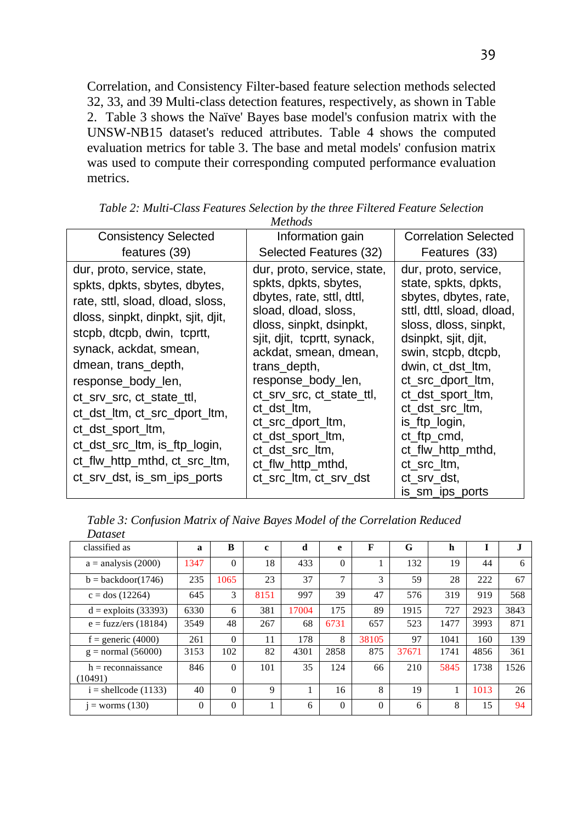Correlation, and Consistency Filter-based feature selection methods selected 32, 33, and 39 Multi-class detection features, respectively, as shown in Table 2. Table 3 shows the Naïve' Bayes base model's confusion matrix with the UNSW-NB15 dataset's reduced attributes. Table 4 shows the computed evaluation metrics for table 3. The base and metal models' confusion matrix was used to compute their corresponding computed performance evaluation metrics.

| <b>Consistency Selected</b>                                                                                                                                                                                                                                                                                                                                                                                                      | Information gain                                                                                                                                                                                                                                                                                                                                                                           | <b>Correlation Selected</b>                                                                                                                                                                                                                                                                                                                                        |
|----------------------------------------------------------------------------------------------------------------------------------------------------------------------------------------------------------------------------------------------------------------------------------------------------------------------------------------------------------------------------------------------------------------------------------|--------------------------------------------------------------------------------------------------------------------------------------------------------------------------------------------------------------------------------------------------------------------------------------------------------------------------------------------------------------------------------------------|--------------------------------------------------------------------------------------------------------------------------------------------------------------------------------------------------------------------------------------------------------------------------------------------------------------------------------------------------------------------|
| features (39)                                                                                                                                                                                                                                                                                                                                                                                                                    | Selected Features (32)                                                                                                                                                                                                                                                                                                                                                                     | Features (33)                                                                                                                                                                                                                                                                                                                                                      |
| dur, proto, service, state,<br>spkts, dpkts, sbytes, dbytes,<br>rate, sttl, sload, dload, sloss,<br>dloss, sinpkt, dinpkt, sjit, djit,<br>stcpb, dtcpb, dwin, tcprtt,<br>synack, ackdat, smean,<br>dmean, trans_depth,<br>response_body_len,<br>ct_srv_src, ct_state_ttl,<br>ct_dst_ltm, ct_src_dport_ltm,<br>ct_dst_sport_ltm,<br>ct_dst_src_ltm, is_ftp_login,<br>ct_flw_http_mthd, ct_src_ltm,<br>ct_srv_dst, is_sm_ips_ports | dur, proto, service, state,<br>spkts, dpkts, sbytes,<br>dbytes, rate, sttl, dttl,<br>sload, dload, sloss,<br>dloss, sinpkt, dsinpkt,<br>sjit, djit, tcprtt, synack,<br>ackdat, smean, dmean,<br>trans_depth,<br>response_body_len,<br>ct_srv_src, ct_state_ttl,<br>ct dst ltm,<br>ct_src_dport_ltm,<br>ct_dst_sport_ltm,<br>ct dst src ltm,<br>ct_flw_http_mthd,<br>ct_src_ltm, ct_srv_dst | dur, proto, service,<br>state, spkts, dpkts,<br>sbytes, dbytes, rate,<br>sttl, dttl, sload, dload,<br>sloss, dloss, sinpkt,<br>dsinpkt, sjit, djit,<br>swin, stcpb, dtcpb,<br>dwin, ct_dst_ltm,<br>ct_src_dport_ltm,<br>ct_dst_sport_ltm,<br>ct_dst_src_ltm,<br>is_ftp_login,<br>ct_ftp_cmd,<br>ct_flw_http_mthd,<br>ct_src_ltm,<br>ct_srv_dst,<br>is_sm_ips_ports |

*Table 2: Multi-Class Features Selection by the three Filtered Feature Selection Methods*

| Table 3: Confusion Matrix of Naive Bayes Model of the Correlation Reduced |  |  |  |
|---------------------------------------------------------------------------|--|--|--|
| Dataset                                                                   |  |  |  |

| classified as                   | a        | B        | c    | d     | e              | F        | G     | h    |      | J.   |
|---------------------------------|----------|----------|------|-------|----------------|----------|-------|------|------|------|
| $a =$ analysis (2000)           | 1347     | $\Omega$ | 18   | 433   | $\Omega$       |          | 132   | 19   | 44   | 6    |
| $b = backdoor(1746)$            | 235      | 1065     | 23   | 37    | 7              | 3        | 59    | 28   | 222  | 67   |
| $c =$ dos (12264)               | 645      | 3        | 8151 | 997   | 39             | 47       | 576   | 319  | 919  | 568  |
| $d =$ exploits (33393)          | 6330     | 6        | 381  | 17004 | 175            | 89       | 1915  | 727  | 2923 | 3843 |
| $e = fuzzyers (18184)$          | 3549     | 48       | 267  | 68    | 6731           | 657      | 523   | 1477 | 3993 | 871  |
| f = generic $(4000)$            | 261      | $\theta$ | 11   | 178   | 8              | 38105    | 97    | 1041 | 160  | 139  |
| $g =$ normal (56000)            | 3153     | 102      | 82   | 4301  | 2858           | 875      | 37671 | 1741 | 4856 | 361  |
| $h =$ reconnaissance<br>(10491) | 846      | $\Omega$ | 101  | 35    | 124            | 66       | 210   | 5845 | 1738 | 1526 |
| $i =$ shellcode (1133)          | 40       | $\Omega$ | 9    |       | 16             | 8        | 19    |      | 1013 | 26   |
| $i =$ worms $(130)$             | $\Omega$ | $\theta$ |      | 6     | $\overline{0}$ | $\Omega$ | 6     | 8    | 15   | 94   |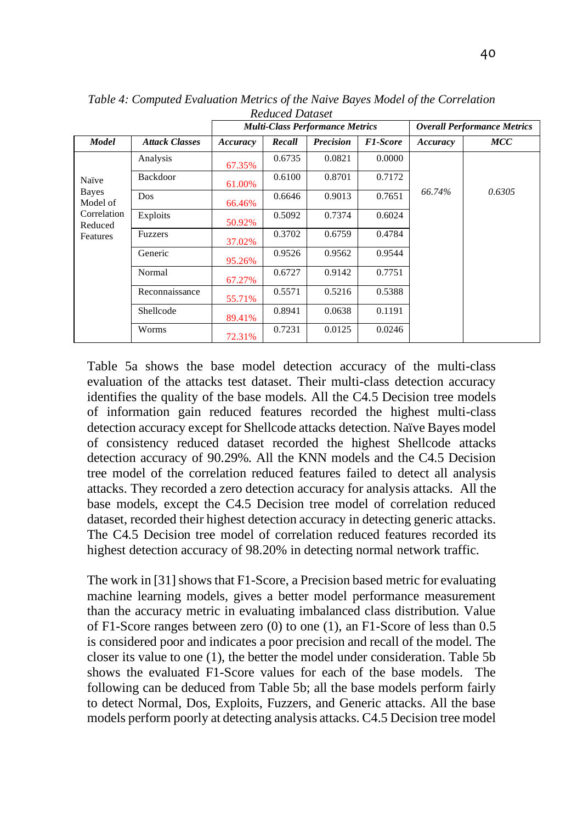|                          |                       |          |        | <b>Multi-Class Performance Metrics</b> |                 | <b>Overall Performance Metrics</b> |        |  |
|--------------------------|-----------------------|----------|--------|----------------------------------------|-----------------|------------------------------------|--------|--|
| <b>Model</b>             | <b>Attack Classes</b> | Accuracy | Recall | <b>Precision</b>                       | <b>F1-Score</b> | Accuracy                           | MCC    |  |
|                          | Analysis              | 67.35%   | 0.6735 | 0.0821                                 | 0.0000          |                                    |        |  |
| Naïve                    | <b>Backdoor</b>       | 61.00%   | 0.6100 | 0.8701                                 | 0.7172          |                                    |        |  |
| <b>Bayes</b><br>Model of | Dos                   | 66.46%   | 0.6646 | 0.9013                                 | 0.7651          | 66.74%                             | 0.6305 |  |
| Correlation<br>Reduced   | Exploits              | 50.92%   | 0.5092 | 0.7374                                 | 0.6024          |                                    |        |  |
| Features                 | <b>Fuzzers</b>        | 37.02%   | 0.3702 | 0.6759                                 | 0.4784          |                                    |        |  |
|                          | Generic               | 95.26%   | 0.9526 | 0.9562                                 | 0.9544          |                                    |        |  |
|                          | Normal                | 67.27%   | 0.6727 | 0.9142                                 | 0.7751          |                                    |        |  |
|                          | Reconnaissance        | 55.71%   | 0.5571 | 0.5216                                 | 0.5388          |                                    |        |  |
|                          | Shellcode             | 89.41%   | 0.8941 | 0.0638                                 | 0.1191          |                                    |        |  |
|                          | Worms                 | 72.31%   | 0.7231 | 0.0125                                 | 0.0246          |                                    |        |  |

*Table 4: Computed Evaluation Metrics of the Naive Bayes Model of the Correlation Reduced Dataset*

Table 5a shows the base model detection accuracy of the multi-class evaluation of the attacks test dataset. Their multi-class detection accuracy identifies the quality of the base models. All the C4.5 Decision tree models of information gain reduced features recorded the highest multi-class detection accuracy except for Shellcode attacks detection. Naïve Bayes model of consistency reduced dataset recorded the highest Shellcode attacks detection accuracy of 90.29%. All the KNN models and the C4.5 Decision tree model of the correlation reduced features failed to detect all analysis attacks. They recorded a zero detection accuracy for analysis attacks. All the base models, except the C4.5 Decision tree model of correlation reduced dataset, recorded their highest detection accuracy in detecting generic attacks. The C4.5 Decision tree model of correlation reduced features recorded its highest detection accuracy of 98.20% in detecting normal network traffic.

The work in [31] shows that F1-Score, a Precision based metric for evaluating machine learning models, gives a better model performance measurement than the accuracy metric in evaluating imbalanced class distribution. Value of F1-Score ranges between zero (0) to one (1), an F1-Score of less than 0.5 is considered poor and indicates a poor precision and recall of the model. The closer its value to one (1), the better the model under consideration. Table 5b shows the evaluated F1-Score values for each of the base models. The following can be deduced from Table 5b; all the base models perform fairly to detect Normal, Dos, Exploits, Fuzzers, and Generic attacks. All the base models perform poorly at detecting analysis attacks. C4.5 Decision tree model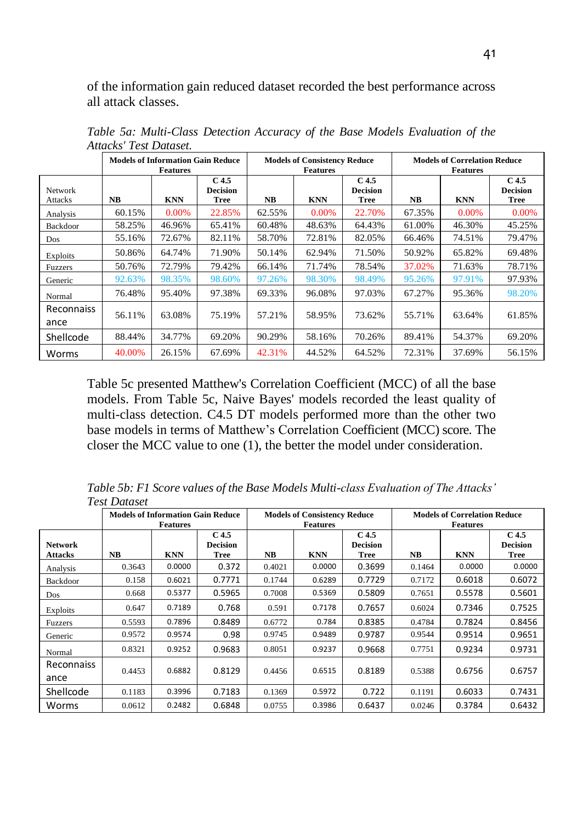of the information gain reduced dataset recorded the best performance across all attack classes.

|                           |           | <b>Models of Information Gain Reduce</b><br><b>Features</b> |                                             |        | <b>Models of Consistency Reduce</b><br><b>Features</b> |                                                    |           | <b>Models of Correlation Reduce</b><br><b>Features</b> |                                                    |
|---------------------------|-----------|-------------------------------------------------------------|---------------------------------------------|--------|--------------------------------------------------------|----------------------------------------------------|-----------|--------------------------------------------------------|----------------------------------------------------|
| <b>Network</b><br>Attacks | <b>NB</b> | <b>KNN</b>                                                  | C <sub>4.5</sub><br><b>Decision</b><br>Tree | NB.    | <b>KNN</b>                                             | C <sub>4.5</sub><br><b>Decision</b><br><b>Tree</b> | <b>NB</b> | <b>KNN</b>                                             | C <sub>4.5</sub><br><b>Decision</b><br><b>Tree</b> |
| Analysis                  | 60.15%    | 0.00%                                                       | 22.85%                                      | 62.55% | 0.00%                                                  | 22.70%                                             | 67.35%    | 0.00%                                                  | 0.00%                                              |
| Backdoor                  | 58.25%    | 46.96%                                                      | 65.41%                                      | 60.48% | 48.63%                                                 | 64.43%                                             | 61.00%    | 46.30%                                                 | 45.25%                                             |
| Dos                       | 55.16%    | 72.67%                                                      | 82.11%                                      | 58.70% | 72.81%                                                 | 82.05%                                             | 66.46%    | 74.51%                                                 | 79.47%                                             |
| Exploits                  | 50.86%    | 64.74%                                                      | 71.90%                                      | 50.14% | 62.94%                                                 | 71.50%                                             | 50.92%    | 65.82%                                                 | 69.48%                                             |
| <b>Fuzzers</b>            | 50.76%    | 72.79%                                                      | 79.42%                                      | 66.14% | 71.74%                                                 | 78.54%                                             | 37.02%    | 71.63%                                                 | 78.71%                                             |
| Generic                   | 92.63%    | 98.35%                                                      | 98.60%                                      | 97.26% | 98.30%                                                 | 98.49%                                             | 95.26%    | 97.91%                                                 | 97.93%                                             |
| Normal                    | 76.48%    | 95.40%                                                      | 97.38%                                      | 69.33% | 96.08%                                                 | 97.03%                                             | 67.27%    | 95.36%                                                 | 98.20%                                             |
| Reconnaiss<br>ance        | 56.11%    | 63.08%                                                      | 75.19%                                      | 57.21% | 58.95%                                                 | 73.62%                                             | 55.71%    | 63.64%                                                 | 61.85%                                             |
| Shellcode                 | 88.44%    | 34.77%                                                      | 69.20%                                      | 90.29% | 58.16%                                                 | 70.26%                                             | 89.41%    | 54.37%                                                 | 69.20%                                             |
| Worms                     | 40.00%    | 26.15%                                                      | 67.69%                                      | 42.31% | 44.52%                                                 | 64.52%                                             | 72.31%    | 37.69%                                                 | 56.15%                                             |

*Table 5a: Multi-Class Detection Accuracy of the Base Models Evaluation of the Attacks' Test Dataset.*

Table 5c presented Matthew's Correlation Coefficient (MCC) of all the base models. From Table 5c, Naive Bayes' models recorded the least quality of multi-class detection. C4.5 DT models performed more than the other two base models in terms of Matthew's Correlation Coefficient (MCC) score. The closer the MCC value to one (1), the better the model under consideration.

*Table 5b: F1 Score values of the Base Models Multi-class Evaluation of The Attacks' Test Dataset*

|                           |        | <b>Models of Information Gain Reduce</b> |                                                    |           | <b>Models of Consistency Reduce</b> |                                                    | <b>Models of Correlation Reduce</b> |                               |                                                    |
|---------------------------|--------|------------------------------------------|----------------------------------------------------|-----------|-------------------------------------|----------------------------------------------------|-------------------------------------|-------------------------------|----------------------------------------------------|
| Network<br><b>Attacks</b> | NB.    | <b>Features</b><br><b>KNN</b>            | C <sub>4.5</sub><br><b>Decision</b><br><b>Tree</b> | <b>NB</b> | <b>Features</b><br><b>KNN</b>       | C <sub>4.5</sub><br><b>Decision</b><br><b>Tree</b> | <b>NB</b>                           | <b>Features</b><br><b>KNN</b> | C <sub>4.5</sub><br><b>Decision</b><br><b>Tree</b> |
| Analysis                  | 0.3643 | 0.0000                                   | 0.372                                              | 0.4021    | 0.0000                              | 0.3699                                             | 0.1464                              | 0.0000                        | 0.0000                                             |
| <b>Backdoor</b>           | 0.158  | 0.6021                                   | 0.7771                                             | 0.1744    | 0.6289                              | 0.7729                                             | 0.7172                              | 0.6018                        | 0.6072                                             |
| Dos                       | 0.668  | 0.5377                                   | 0.5965                                             | 0.7008    | 0.5369                              | 0.5809                                             | 0.7651                              | 0.5578                        | 0.5601                                             |
| Exploits                  | 0.647  | 0.7189                                   | 0.768                                              | 0.591     | 0.7178                              | 0.7657                                             | 0.6024                              | 0.7346                        | 0.7525                                             |
| <b>Fuzzers</b>            | 0.5593 | 0.7896                                   | 0.8489                                             | 0.6772    | 0.784                               | 0.8385                                             | 0.4784                              | 0.7824                        | 0.8456                                             |
| Generic                   | 0.9572 | 0.9574                                   | 0.98                                               | 0.9745    | 0.9489                              | 0.9787                                             | 0.9544                              | 0.9514                        | 0.9651                                             |
| Normal                    | 0.8321 | 0.9252                                   | 0.9683                                             | 0.8051    | 0.9237                              | 0.9668                                             | 0.7751                              | 0.9234                        | 0.9731                                             |
| <b>Reconnaiss</b><br>ance | 0.4453 | 0.6882                                   | 0.8129                                             | 0.4456    | 0.6515                              | 0.8189                                             | 0.5388                              | 0.6756                        | 0.6757                                             |
| Shellcode                 | 0.1183 | 0.3996                                   | 0.7183                                             | 0.1369    | 0.5972                              | 0.722                                              | 0.1191                              | 0.6033                        | 0.7431                                             |
| Worms                     | 0.0612 | 0.2482                                   | 0.6848                                             | 0.0755    | 0.3986                              | 0.6437                                             | 0.0246                              | 0.3784                        | 0.6432                                             |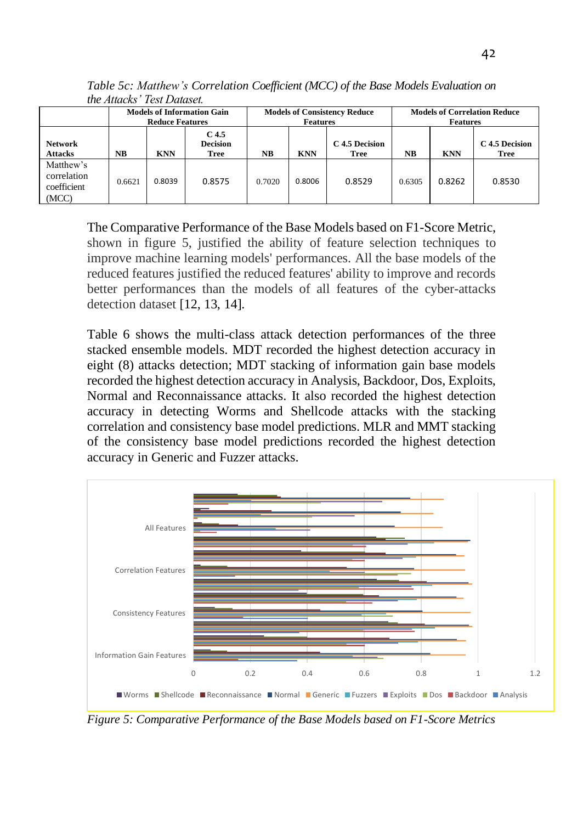| na mara isa kan                                  |                                                             |            |                                         |                                                        |            |                        |                                                        |            |                               |  |
|--------------------------------------------------|-------------------------------------------------------------|------------|-----------------------------------------|--------------------------------------------------------|------------|------------------------|--------------------------------------------------------|------------|-------------------------------|--|
|                                                  | <b>Models of Information Gain</b><br><b>Reduce Features</b> |            |                                         | <b>Models of Consistency Reduce</b><br><b>Features</b> |            |                        | <b>Models of Correlation Reduce</b><br><b>Features</b> |            |                               |  |
| <b>Network</b><br><b>Attacks</b>                 | NB                                                          | <b>KNN</b> | C 4.5<br><b>Decision</b><br><b>Tree</b> | <b>NB</b>                                              | <b>KNN</b> | C 4.5 Decision<br>Tree | <b>NB</b>                                              | <b>KNN</b> | C 4.5 Decision<br><b>Tree</b> |  |
| Matthew's<br>correlation<br>coefficient<br>(MCC) | 0.6621                                                      | 0.8039     | 0.8575                                  | 0.7020                                                 | 0.8006     | 0.8529                 | 0.6305                                                 | 0.8262     | 0.8530                        |  |

*Table 5c: Matthew's Correlation Coefficient (MCC) of the Base Models Evaluation on the Attacks' Test Dataset.*

The Comparative Performance of the Base Models based on F1-Score Metric, shown in figure 5, justified the ability of feature selection techniques to improve machine learning models' performances. All the base models of the reduced features justified the reduced features' ability to improve and records better performances than the models of all features of the cyber-attacks detection dataset [12, 13, 14].

Table 6 shows the multi-class attack detection performances of the three stacked ensemble models. MDT recorded the highest detection accuracy in eight (8) attacks detection; MDT stacking of information gain base models recorded the highest detection accuracy in Analysis, Backdoor, Dos, Exploits, Normal and Reconnaissance attacks. It also recorded the highest detection accuracy in detecting Worms and Shellcode attacks with the stacking correlation and consistency base model predictions. MLR and MMT stacking of the consistency base model predictions recorded the highest detection accuracy in Generic and Fuzzer attacks.



*Figure 5: Comparative Performance of the Base Models based on F1-Score Metrics*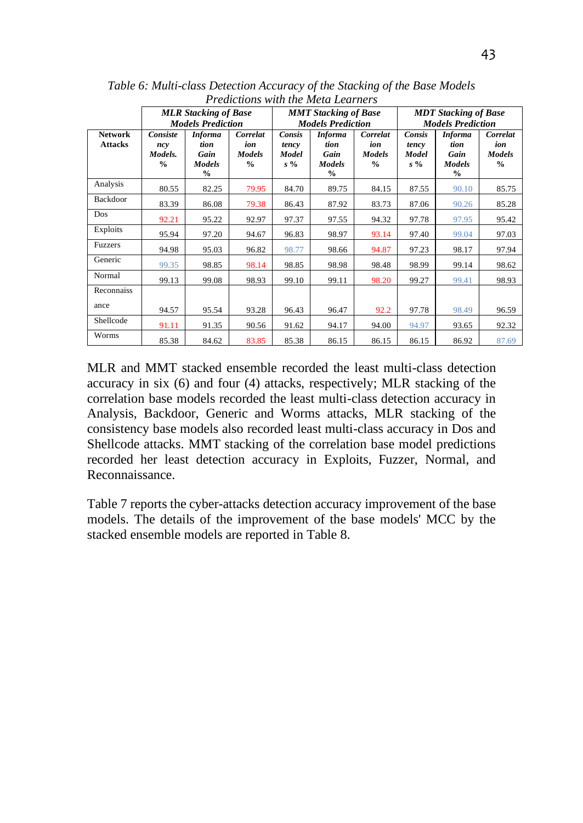|                                  | <b>MLR Stacking of Base</b><br><b>Models Prediction</b> |                                                                  |                                                   |                                   | <b>MMT</b> Stacking of Base<br><b>Models Prediction</b>          |                                                   | <b>MDT</b> Stacking of Base<br><b>Models Prediction</b> |                                                                  |                                                   |
|----------------------------------|---------------------------------------------------------|------------------------------------------------------------------|---------------------------------------------------|-----------------------------------|------------------------------------------------------------------|---------------------------------------------------|---------------------------------------------------------|------------------------------------------------------------------|---------------------------------------------------|
| <b>Network</b><br><b>Attacks</b> | Consiste<br>ncy<br>Models.<br>$\frac{0}{0}$             | <b>Informa</b><br>tion<br>Gain<br><b>Models</b><br>$\frac{0}{0}$ | Correlat<br>ion<br><b>Models</b><br>$\frac{0}{0}$ | Consis<br>tency<br>Model<br>$s\%$ | <b>Informa</b><br>tion<br>Gain<br><b>Models</b><br>$\frac{6}{9}$ | Correlat<br>ion<br><b>Models</b><br>$\frac{6}{9}$ | Consis<br>tency<br>Model<br>$s\%$                       | <b>Informa</b><br>tion<br>Gain<br><b>Models</b><br>$\frac{6}{9}$ | Correlat<br>ion<br><b>Models</b><br>$\frac{0}{0}$ |
| Analysis                         | 80.55                                                   | 82.25                                                            | 79.95                                             | 84.70                             | 89.75                                                            | 84.15                                             | 87.55                                                   | 90.10                                                            | 85.75                                             |
| Backdoor                         | 83.39                                                   | 86.08                                                            | 79.38                                             | 86.43                             | 87.92                                                            | 83.73                                             | 87.06                                                   | 90.26                                                            | 85.28                                             |
| Dos                              | 92.21                                                   | 95.22                                                            | 92.97                                             | 97.37                             | 97.55                                                            | 94.32                                             | 97.78                                                   | 97.95                                                            | 95.42                                             |
| Exploits                         | 95.94                                                   | 97.20                                                            | 94.67                                             | 96.83                             | 98.97                                                            | 93.14                                             | 97.40                                                   | 99.04                                                            | 97.03                                             |
| Fuzzers                          | 94.98                                                   | 95.03                                                            | 96.82                                             | 98.77                             | 98.66                                                            | 94.87                                             | 97.23                                                   | 98.17                                                            | 97.94                                             |
| Generic                          | 99.35                                                   | 98.85                                                            | 98.14                                             | 98.85                             | 98.98                                                            | 98.48                                             | 98.99                                                   | 99.14                                                            | 98.62                                             |
| Normal                           | 99.13                                                   | 99.08                                                            | 98.93                                             | 99.10                             | 99.11                                                            | 98.20                                             | 99.27                                                   | 99.41                                                            | 98.93                                             |
| Reconnaiss                       |                                                         |                                                                  |                                                   |                                   |                                                                  |                                                   |                                                         |                                                                  |                                                   |
| ance                             | 94.57                                                   | 95.54                                                            | 93.28                                             | 96.43                             | 96.47                                                            | 92.2                                              | 97.78                                                   | 98.49                                                            | 96.59                                             |
| Shellcode                        | 91.11                                                   | 91.35                                                            | 90.56                                             | 91.62                             | 94.17                                                            | 94.00                                             | 94.97                                                   | 93.65                                                            | 92.32                                             |
| Worms                            | 85.38                                                   | 84.62                                                            | 83.85                                             | 85.38                             | 86.15                                                            | 86.15                                             | 86.15                                                   | 86.92                                                            | 87.69                                             |

*Table 6: Multi-class Detection Accuracy of the Stacking of the Base Models Predictions with the Meta Learners*

MLR and MMT stacked ensemble recorded the least multi-class detection accuracy in six (6) and four (4) attacks, respectively; MLR stacking of the correlation base models recorded the least multi-class detection accuracy in Analysis, Backdoor, Generic and Worms attacks, MLR stacking of the consistency base models also recorded least multi-class accuracy in Dos and Shellcode attacks. MMT stacking of the correlation base model predictions recorded her least detection accuracy in Exploits, Fuzzer, Normal, and Reconnaissance.

Table 7 reports the cyber-attacks detection accuracy improvement of the base models. The details of the improvement of the base models' MCC by the stacked ensemble models are reported in Table 8.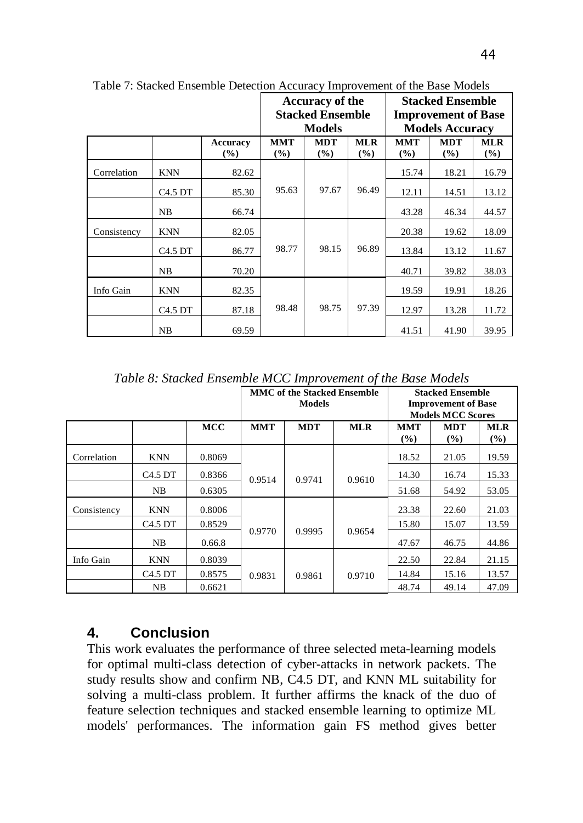|             |                    |                    |                      | Accuracy of the         |                   | <b>Stacked Ensemble</b>    |                   |                      |  |
|-------------|--------------------|--------------------|----------------------|-------------------------|-------------------|----------------------------|-------------------|----------------------|--|
|             |                    |                    |                      | <b>Stacked Ensemble</b> |                   | <b>Improvement of Base</b> |                   |                      |  |
|             |                    |                    |                      | <b>Models</b>           |                   | <b>Models Accuracy</b>     |                   |                      |  |
|             |                    | Accuracy<br>$(\%)$ | <b>MMT</b><br>$(\%)$ | <b>MDT</b><br>(%)       | <b>MLR</b><br>(%) | <b>MMT</b><br>(%)          | <b>MDT</b><br>(%) | <b>MLR</b><br>$(\%)$ |  |
| Correlation | KNN                | 82.62              |                      | 97.67                   | 96.49             | 15.74                      | 18.21             | 16.79                |  |
|             | C4.5 <sub>DT</sub> | 85.30              | 95.63                |                         |                   | 12.11                      | 14.51             | 13.12                |  |
|             | NB                 | 66.74              |                      |                         |                   | 43.28                      | 46.34             | 44.57                |  |
| Consistency | KNN                | 82.05              |                      | 98.15                   | 96.89             | 20.38                      | 19.62             | 18.09                |  |
|             | C4.5 <sub>DT</sub> | 86.77              | 98.77                |                         |                   | 13.84                      | 13.12             | 11.67                |  |
|             | NB                 | 70.20              |                      |                         |                   | 40.71                      | 39.82             | 38.03                |  |
| Info Gain   | <b>KNN</b>         | 82.35              | 98.48                | 98.75                   | 97.39             | 19.59                      | 19.91             | 18.26                |  |
|             | C4.5 <sub>DT</sub> | 87.18              |                      |                         |                   | 12.97                      | 13.28             | 11.72                |  |
|             | NB                 | 69.59              |                      |                         |                   | 41.51                      | 41.90             | 39.95                |  |

Table 7: Stacked Ensemble Detection Accuracy Improvement of the Base Models

*Table 8: Stacked Ensemble MCC Improvement of the Base Models*

|             |                                 |            |            | <b>MMC of the Stacked Ensemble</b><br><b>Models</b> |            | <b>Stacked Ensemble</b><br><b>Improvement of Base</b><br><b>Models MCC Scores</b> |                      |                   |
|-------------|---------------------------------|------------|------------|-----------------------------------------------------|------------|-----------------------------------------------------------------------------------|----------------------|-------------------|
|             |                                 | <b>MCC</b> | <b>MMT</b> | <b>MDT</b>                                          | <b>MLR</b> | <b>MMT</b><br>(%)                                                                 | <b>MDT</b><br>$($ %) | <b>MLR</b><br>(%) |
| Correlation | <b>KNN</b>                      | 0.8069     |            |                                                     |            | 18.52                                                                             | 21.05                | 19.59             |
|             | C <sub>4.5</sub> D <sub>T</sub> | 0.8366     | 0.9514     | 0.9741                                              | 0.9610     | 14.30                                                                             | 16.74                | 15.33             |
|             | NB.                             | 0.6305     |            |                                                     |            | 51.68                                                                             | 54.92                | 53.05             |
| Consistency | <b>KNN</b>                      | 0.8006     |            |                                                     |            | 23.38                                                                             | 22.60                | 21.03             |
|             | C <sub>4.5</sub> D <sub>T</sub> | 0.8529     |            |                                                     |            | 15.80                                                                             | 15.07                | 13.59             |
|             | NB.                             | 0.66.8     | 0.9770     | 0.9995                                              | 0.9654     | 47.67                                                                             | 46.75                | 44.86             |
| Info Gain   | <b>KNN</b>                      | 0.8039     |            |                                                     |            | 22.50                                                                             | 22.84                | 21.15             |
|             | C <sub>4.5</sub> D <sub>T</sub> | 0.8575     | 0.9831     | 0.9861                                              | 0.9710     | 14.84                                                                             | 15.16                | 13.57             |
|             | NB                              | 0.6621     |            |                                                     |            | 48.74                                                                             | 49.14                | 47.09             |

## **4. Conclusion**

This work evaluates the performance of three selected meta-learning models for optimal multi-class detection of cyber-attacks in network packets. The study results show and confirm NB, C4.5 DT, and KNN ML suitability for solving a multi-class problem. It further affirms the knack of the duo of feature selection techniques and stacked ensemble learning to optimize ML models' performances. The information gain FS method gives better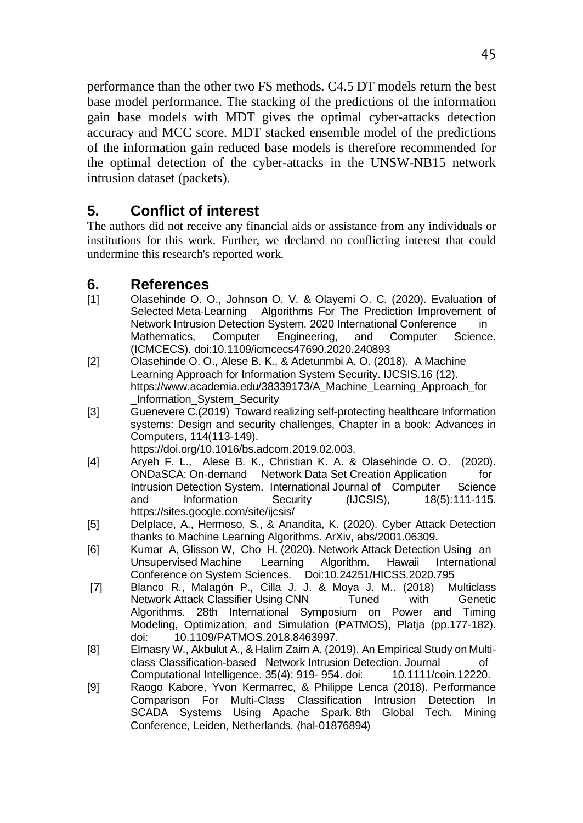performance than the other two FS methods. C4.5 DT models return the best base model performance. The stacking of the predictions of the information gain base models with MDT gives the optimal cyber-attacks detection accuracy and MCC score. MDT stacked ensemble model of the predictions of the information gain reduced base models is therefore recommended for the optimal detection of the cyber-attacks in the UNSW-NB15 network intrusion dataset (packets).

# **5. Conflict of interest**

The authors did not receive any financial aids or assistance from any individuals or institutions for this work. Further, we declared no conflicting interest that could undermine this research's reported work.

## **6. References**

- [1] Olasehinde O. O., Johnson O. V. & Olayemi O. C. (2020). Evaluation of Selected Meta-Learning Algorithms For The Prediction Improvement of Network Intrusion Detection System. 2020 International Conference in Mathematics, Computer Engineering, and Computer Science. (ICMCECS). doi:10.1109/icmcecs47690.2020.240893
- [2] Olasehinde O. O., Alese B. K., & Adetunmbi A. O. (2018). A Machine Learning Approach for Information System Security. IJCSIS.16 (12). https://www.academia.edu/38339173/A\_Machine\_Learning\_Approach\_for \_Information\_System\_Security
- [3] Guenevere C.(2019) Toward realizing self-protecting healthcare Information systems: Design and security challenges, Chapter in a book: Advances in Computers, 114(113-149). https://doi.org/10.1016/bs.adcom.2019.02.003.

[4] Aryeh F. L., Alese B. K., Christian K. A. & Olasehinde O. O. (2020). ONDaSCA: On-demand Network Data Set Creation Application for<br>Intrusion Detection System. International Journal of Computer Science Intrusion Detection System. International Journal of Computer and Information Security (IJCSIS), 18(5):111-115. https://sites.google.com/site/ijcsis/

- [5] Delplace, A., Hermoso, S., & Anandita, K. (2020). Cyber Attack Detection thanks to Machine Learning Algorithms. ArXiv, abs/2001.06309**.**
- [6] Kumar A, Glisson W, Cho H. (2020). Network Attack Detection Using an Unsupervised Machine Learning Algorithm. Hawaii International Conference on System Sciences. Doi:10.24251/HICSS.2020.795
- [7] Blanco R., Malagón P., Cilla J. J. & Moya J. M.. (2018) Multiclass Network Attack Classifier Using CNN Tuned with Genetic Algorithms. 28th International Symposium on Power and Timing Modeling, Optimization, and Simulation (PATMOS)**,** Platja (pp.177-182). doi: 10.1109/PATMOS.2018.8463997.
- [8] Elmasry W., Akbulut A., & Halim Zaim A. (2019). An Empirical Study on Multiclass Classification-based Network Intrusion Detection. Journal of Computational Intelligence. 35(4): 919- 954. doi: 10.1111/coin.12220.
- [9] Raogo Kabore, Yvon Kermarrec, & Philippe Lenca (2018). Performance Comparison For Multi-Class Classification Intrusion Detection In SCADA Systems Using Apache Spark. 8th Global Tech. Mining Conference, Leiden, Netherlands. ⟨hal-01876894⟩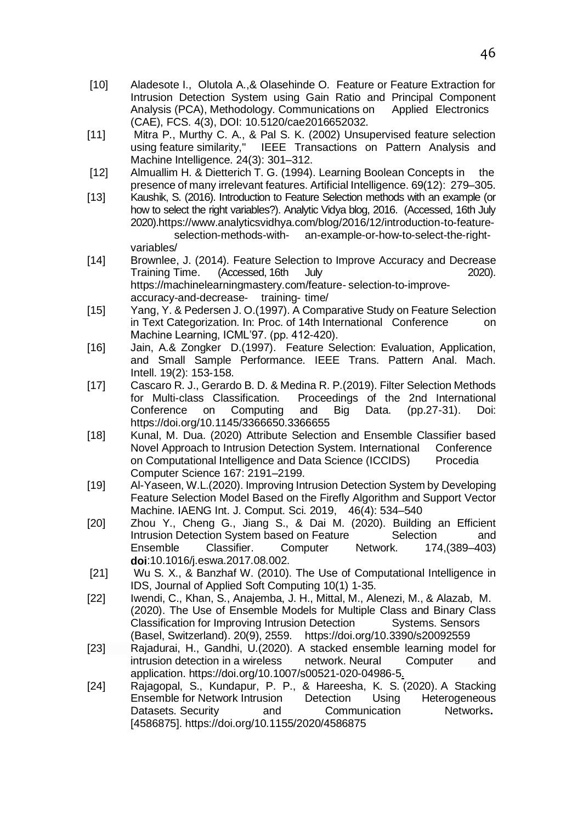- [10] Aladesote I., Olutola A.,& Olasehinde O. Feature or Feature Extraction for Intrusion Detection System using Gain Ratio and Principal Component<br>Analvsis (PCA), Methodology. Communications on Applied Electronics Analysis (PCA), Methodology. Communications on (CAE), FCS. 4(3), DOI: 10.5120/cae2016652032.
- [11] Mitra P., Murthy C. A., & Pal S. K. (2002) Unsupervised feature selection IEEE Transactions on Pattern Analysis and Machine Intelligence. 24(3): 301–312.
- [12] Almuallim H. & Dietterich T. G. (1994). Learning Boolean Concepts in the presence of many irrelevant features. Artificial Intelligence. 69(12): 279–305.
- [13] Kaushik, S. (2016). Introduction to Feature Selection methods with an example (or how to select the right variables?). Analytic Vidya blog, 2016. (Accessed, 16th July 2020).https://www.analyticsvidhya.com/blog/2016/12/introduction-to-featurean-example-or-how-to-select-the-rightvariables/
- [14] Brownlee, J. (2014). Feature Selection to Improve Accuracy and Decrease (Accessed, 16th July https://machinelearningmastery.com/feature- selection-to-improveaccuracy-and-decrease- training- time/
- [15] Yang, Y. & Pedersen J. O.(1997). A Comparative Study on Feature Selection in Text Categorization. In: Proc. of 14th International Conference on Machine Learning, ICML'97. (pp. 412-420).
- [16] Jain, A.& Zongker D.(1997). Feature Selection: Evaluation, Application, and Small Sample Performance. IEEE Trans. Pattern Anal. Mach. Intell. 19(2): 153-158.
- [17] Cascaro R. J., Gerardo B. D. & Medina R. P.(2019). Filter Selection Methods Proceedings of the 2nd International Conference on Computing and Big Data. (pp.27-31). Doi: https://doi.org/10.1145/3366650.3366655
- [18] Kunal, M. Dua. (2020) Attribute Selection and Ensemble Classifier based Novel Approach to Intrusion Detection System. International Conference on Computational Intelligence and Data Science (ICCIDS) Procedia Computer Science 167: 2191–2199.
- [19] Al-Yaseen, W.L.(2020). Improving Intrusion Detection System by Developing Feature Selection Model Based on the Firefly Algorithm and Support Vector Machine. IAENG Int. J. Comput. Sci. 2019, 46(4): 534–540
- [20] Zhou Y., Cheng G., Jiang S., & Dai M. (2020). Building an Efficient Intrusion Detection System based on Feature Selection and Ensemble Classifier. Computer Network. 174,(389–403) **doi**:10.1016/j.eswa.2017.08.002.
- [21] Wu S. X., & Banzhaf W. (2010). The Use of Computational Intelligence in IDS, Journal of Applied Soft Computing 10(1) 1-35.
- [22] Iwendi, C., Khan, S., Anajemba, J. H., Mittal, M., Alenezi, M., & Alazab, M. (2020). The Use of Ensemble Models for Multiple Class and Binary Class Classification for Improving Intrusion Detection Systems. Sensors (Basel, Switzerland). 20(9), 2559. https://doi.org/10.3390/s20092559
- [23] Rajadurai, H., Gandhi, U.(2020). A stacked ensemble learning model for intrusion detection in a wireless network. Neural Computer and application. https://doi.org/10.1007/s00521-020-04986-5.
- [24] Rajagopal, S., Kundapur, P. P., & Hareesha, K. S. (2020). A Stacking Ensemble for Network Intrusion Detection Using Heterogeneous Datasets. Security and Communication Networks**.** [4586875]. https://doi.org/10.1155/2020/4586875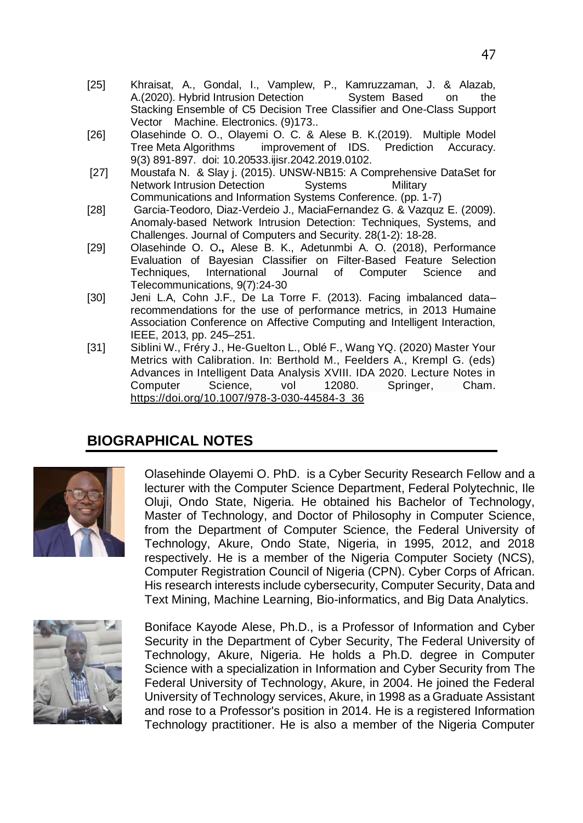- [25] Khraisat, A., Gondal, I., Vamplew, P., Kamruzzaman, J. & Alazab, A.(2020). Hybrid Intrusion Detection System Based on the Stacking Ensemble of C5 Decision Tree Classifier and One-Class Support Vector Machine. Electronics. (9)173..
- [26] Olasehinde O. O., Olayemi O. C. & Alese B. K.(2019). Multiple Model Tree Meta Algorithms improvement of IDS. Prediction Accuracy. 9(3) 891-897. doi: 10.20533.ijisr.2042.2019.0102.
- [27] Moustafa N. & Slay j. (2015). UNSW-NB15: A Comprehensive DataSet for Network Intrusion Detection Systems Military Communications and Information Systems Conference. (pp. 1-7)
- [28] Garcia-Teodoro, Diaz-Verdeio J., MaciaFernandez G. & Vazquz E. (2009). Anomaly-based Network Intrusion Detection: Techniques, Systems, and Challenges. Journal of Computers and Security. 28(1-2): 18-28.
- [29] Olasehinde O. O**.,** Alese B. K., Adetunmbi A. O. (2018), Performance Evaluation of Bayesian Classifier on Filter-Based Feature Selection International Journal of Computer Science and Telecommunications, 9(7):24-30
- [30] Jeni L.A, Cohn J.F., De La Torre F. (2013). Facing imbalanced data– recommendations for the use of performance metrics, in 2013 Humaine Association Conference on Affective Computing and Intelligent Interaction, IEEE, 2013, pp. 245–251.
- [31] Siblini W., Fréry J., He-Guelton L., Oblé F., Wang YQ. (2020) Master Your Metrics with Calibration. In: Berthold M., Feelders A., Krempl G. (eds) Advances in Intelligent Data Analysis XVIII. IDA 2020. Lecture Notes in Computer Science. vol 12080. Springer, Cham. Computer Science, vol [https://doi.org/10.1007/978-3-030-44584-3\\_36](https://doi.org/10.1007/978-3-030-44584-3_36)

# **BIOGRAPHICAL NOTES**



Olasehinde Olayemi O. PhD. is a Cyber Security Research Fellow and a lecturer with the Computer Science Department, Federal Polytechnic, Ile Oluji, Ondo State, Nigeria. He obtained his Bachelor of Technology, Master of Technology, and Doctor of Philosophy in Computer Science, from the Department of Computer Science, the Federal University of Technology, Akure, Ondo State, Nigeria, in 1995, 2012, and 2018 respectively. He is a member of the Nigeria Computer Society (NCS), Computer Registration Council of Nigeria (CPN). Cyber Corps of African. His research interests include cybersecurity, Computer Security, Data and Text Mining, Machine Learning, Bio-informatics, and Big Data Analytics.



Boniface Kayode Alese, Ph.D., is a Professor of Information and Cyber Security in the Department of Cyber Security, The Federal University of Technology, Akure, Nigeria. He holds a Ph.D. degree in Computer Science with a specialization in Information and Cyber Security from The Federal University of Technology, Akure, in 2004. He joined the Federal University of Technology services, Akure, in 1998 as a Graduate Assistant and rose to a Professor's position in 2014. He is a registered Information Technology practitioner. He is also a member of the Nigeria Computer